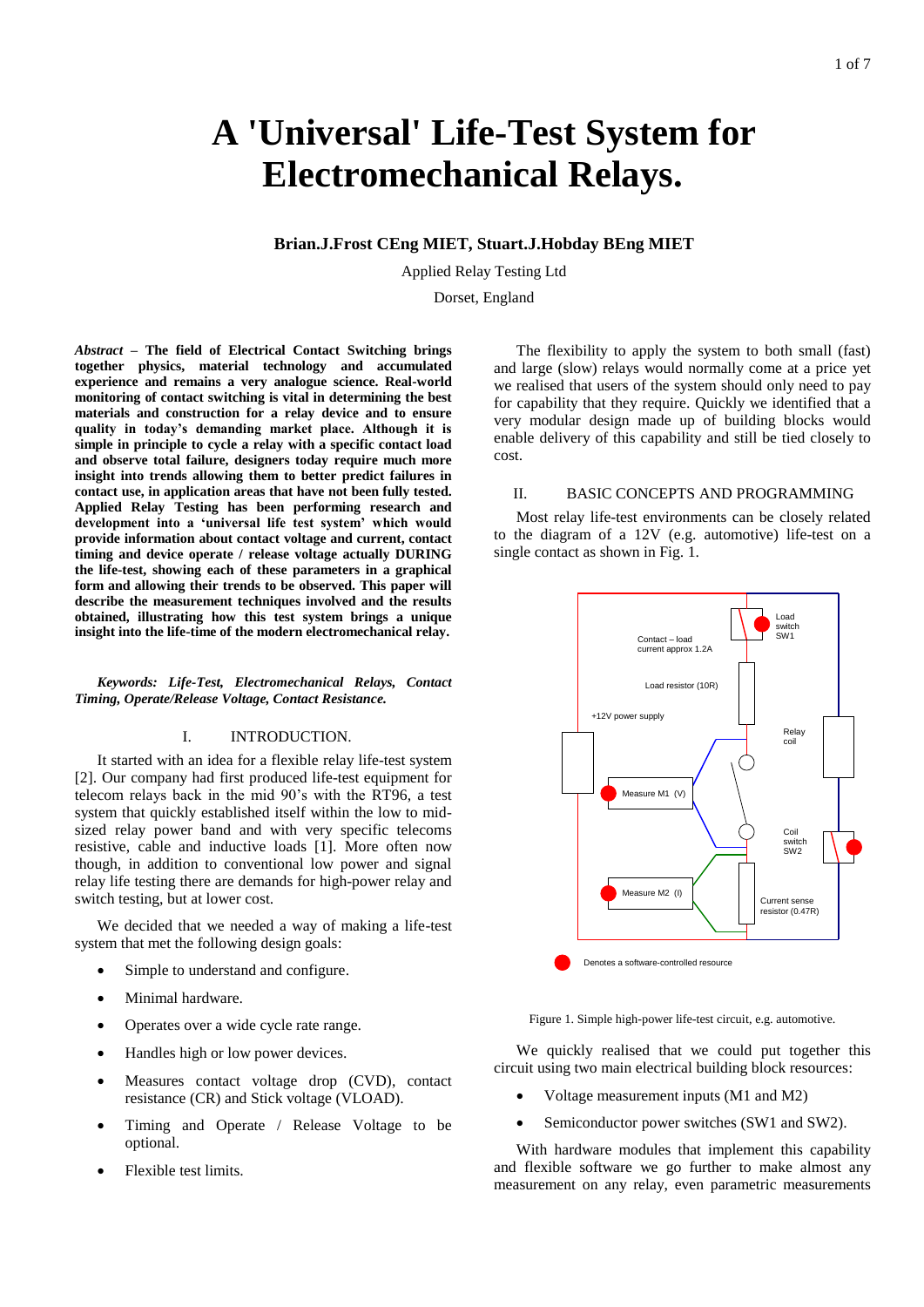# **A 'Universal' Life-Test System for Electromechanical Relays.**

**Brian.J.Frost CEng MIET, Stuart.J.Hobday BEng MIET**

Applied Relay Testing Ltd

Dorset, England

*Abstract* **– The field of Electrical Contact Switching brings together physics, material technology and accumulated experience and remains a very analogue science. Real-world monitoring of contact switching is vital in determining the best materials and construction for a relay device and to ensure quality in today's demanding market place. Although it is simple in principle to cycle a relay with a specific contact load and observe total failure, designers today require much more insight into trends allowing them to better predict failures in contact use, in application areas that have not been fully tested. Applied Relay Testing has been performing research and development into a 'universal life test system' which would provide information about contact voltage and current, contact timing and device operate / release voltage actually DURING the life-test, showing each of these parameters in a graphical form and allowing their trends to be observed. This paper will describe the measurement techniques involved and the results obtained, illustrating how this test system brings a unique insight into the life-time of the modern electromechanical relay.**

*Keywords: Life-Test, Electromechanical Relays, Contact Timing, Operate/Release Voltage, Contact Resistance.*

## I. INTRODUCTION.

It started with an idea for a flexible relay life-test system [2]. Our company had first produced life-test equipment for telecom relays back in the mid 90's with the RT96, a test system that quickly established itself within the low to midsized relay power band and with very specific telecoms resistive, cable and inductive loads [1]. More often now though, in addition to conventional low power and signal relay life testing there are demands for high-power relay and switch testing, but at lower cost.

We decided that we needed a way of making a life-test system that met the following design goals:

- Simple to understand and configure.
- Minimal hardware.
- Operates over a wide cycle rate range.
- Handles high or low power devices.
- Measures contact voltage drop (CVD), contact resistance (CR) and Stick voltage (VLOAD).
- Timing and Operate / Release Voltage to be optional.
- Flexible test limits.

The flexibility to apply the system to both small (fast) and large (slow) relays would normally come at a price yet we realised that users of the system should only need to pay for capability that they require. Quickly we identified that a very modular design made up of building blocks would enable delivery of this capability and still be tied closely to cost.

## II. BASIC CONCEPTS AND PROGRAMMING

Most relay life-test environments can be closely related to the diagram of a 12V (e.g. automotive) life-test on a single contact as shown in Fig. 1.



Figure 1. Simple high-power life-test circuit, e.g. automotive.

We quickly realised that we could put together this circuit using two main electrical building block resources:

- Voltage measurement inputs (M1 and M2)
- Semiconductor power switches (SW1 and SW2).

With hardware modules that implement this capability and flexible software we go further to make almost any measurement on any relay, even parametric measurements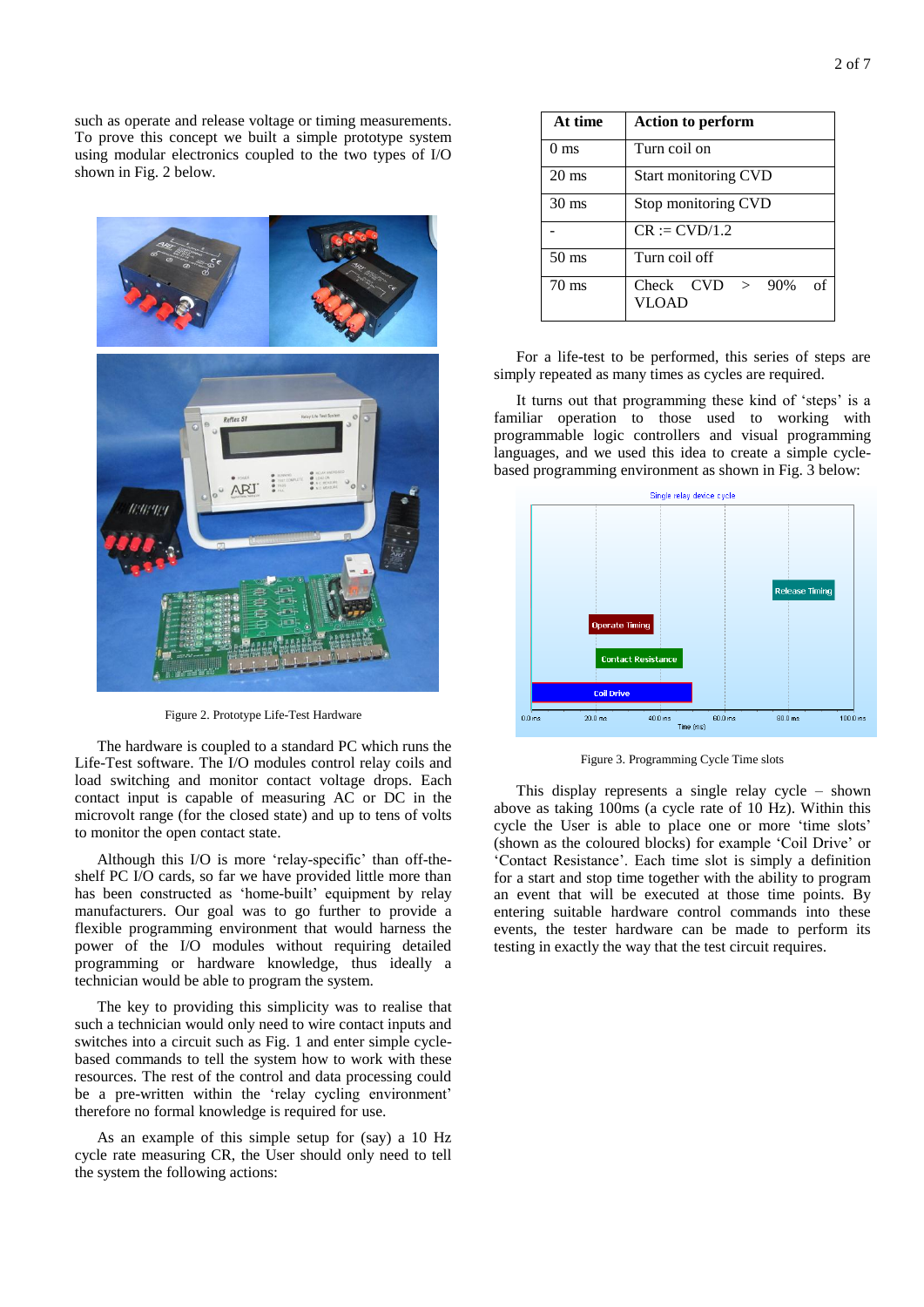such as operate and release voltage or timing measurements. To prove this concept we built a simple prototype system using modular electronics coupled to the two types of I/O shown in Fig. 2 below.



Figure 2. Prototype Life-Test Hardware

The hardware is coupled to a standard PC which runs the Life-Test software. The I/O modules control relay coils and load switching and monitor contact voltage drops. Each contact input is capable of measuring AC or DC in the microvolt range (for the closed state) and up to tens of volts to monitor the open contact state.

Although this I/O is more 'relay-specific' than off-theshelf PC I/O cards, so far we have provided little more than has been constructed as 'home-built' equipment by relay manufacturers. Our goal was to go further to provide a flexible programming environment that would harness the power of the I/O modules without requiring detailed programming or hardware knowledge, thus ideally a technician would be able to program the system.

The key to providing this simplicity was to realise that such a technician would only need to wire contact inputs and switches into a circuit such as Fig. 1 and enter simple cyclebased commands to tell the system how to work with these resources. The rest of the control and data processing could be a pre-written within the 'relay cycling environment' therefore no formal knowledge is required for use.

As an example of this simple setup for (say) a 10 Hz cycle rate measuring CR, the User should only need to tell the system the following actions:

| At time         | <b>Action to perform</b>                 |  |
|-----------------|------------------------------------------|--|
| 0 <sub>ms</sub> | Turn coil on                             |  |
| $20 \text{ ms}$ | <b>Start monitoring CVD</b>              |  |
| $30 \text{ ms}$ | Stop monitoring CVD                      |  |
|                 | $CR := CVD/1.2$                          |  |
| $50 \text{ ms}$ | Turn coil off                            |  |
| $70 \text{ ms}$ | Check $CVD > 90\%$<br>Ω£<br><b>VLOAD</b> |  |

For a life-test to be performed, this series of steps are simply repeated as many times as cycles are required.

It turns out that programming these kind of 'steps' is a familiar operation to those used to working with programmable logic controllers and visual programming languages, and we used this idea to create a simple cyclebased programming environment as shown in Fig. 3 below:



Figure 3. Programming Cycle Time slots

This display represents a single relay cycle – shown above as taking 100ms (a cycle rate of 10 Hz). Within this cycle the User is able to place one or more 'time slots' (shown as the coloured blocks) for example 'Coil Drive' or 'Contact Resistance'. Each time slot is simply a definition for a start and stop time together with the ability to program an event that will be executed at those time points. By entering suitable hardware control commands into these events, the tester hardware can be made to perform its testing in exactly the way that the test circuit requires.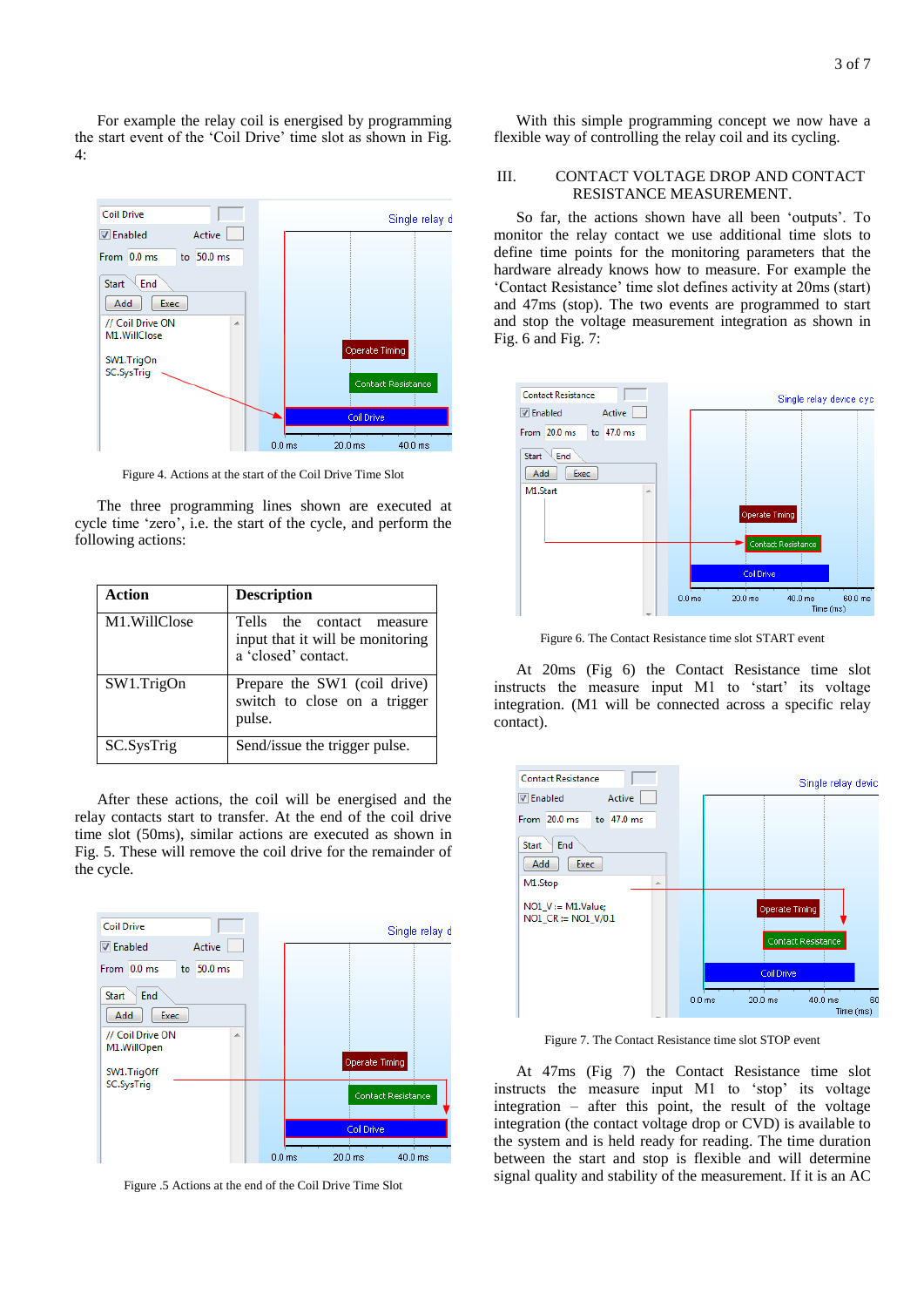For example the relay coil is energised by programming the start event of the 'Coil Drive' time slot as shown in Fig. 4:



Figure 4. Actions at the start of the Coil Drive Time Slot

The three programming lines shown are executed at cycle time 'zero', i.e. the start of the cycle, and perform the following actions:

| Action         | <b>Description</b>                                                                   |
|----------------|--------------------------------------------------------------------------------------|
| M1. Will Close | Tells the contact measure<br>input that it will be monitoring<br>a 'closed' contact. |
| SW1.TrigOn     | Prepare the SW1 (coil drive)<br>switch to close on a trigger<br>pulse.               |
| SC.SysTrig     | Send/issue the trigger pulse.                                                        |

After these actions, the coil will be energised and the relay contacts start to transfer. At the end of the coil drive time slot (50ms), similar actions are executed as shown in Fig. 5. These will remove the coil drive for the remainder of the cycle.



Figure .5 Actions at the end of the Coil Drive Time Slot

With this simple programming concept we now have a flexible way of controlling the relay coil and its cycling.

## III. CONTACT VOLTAGE DROP AND CONTACT RESISTANCE MEASUREMENT.

So far, the actions shown have all been 'outputs'. To monitor the relay contact we use additional time slots to define time points for the monitoring parameters that the hardware already knows how to measure. For example the 'Contact Resistance' time slot defines activity at 20ms (start) and 47ms (stop). The two events are programmed to start and stop the voltage measurement integration as shown in Fig. 6 and Fig. 7:



Figure 6. The Contact Resistance time slot START event

At 20ms (Fig 6) the Contact Resistance time slot instructs the measure input M1 to 'start' its voltage integration. (M1 will be connected across a specific relay contact).



Figure 7. The Contact Resistance time slot STOP event

At 47ms (Fig 7) the Contact Resistance time slot instructs the measure input M1 to 'stop' its voltage integration – after this point, the result of the voltage integration (the contact voltage drop or CVD) is available to the system and is held ready for reading. The time duration between the start and stop is flexible and will determine signal quality and stability of the measurement. If it is an AC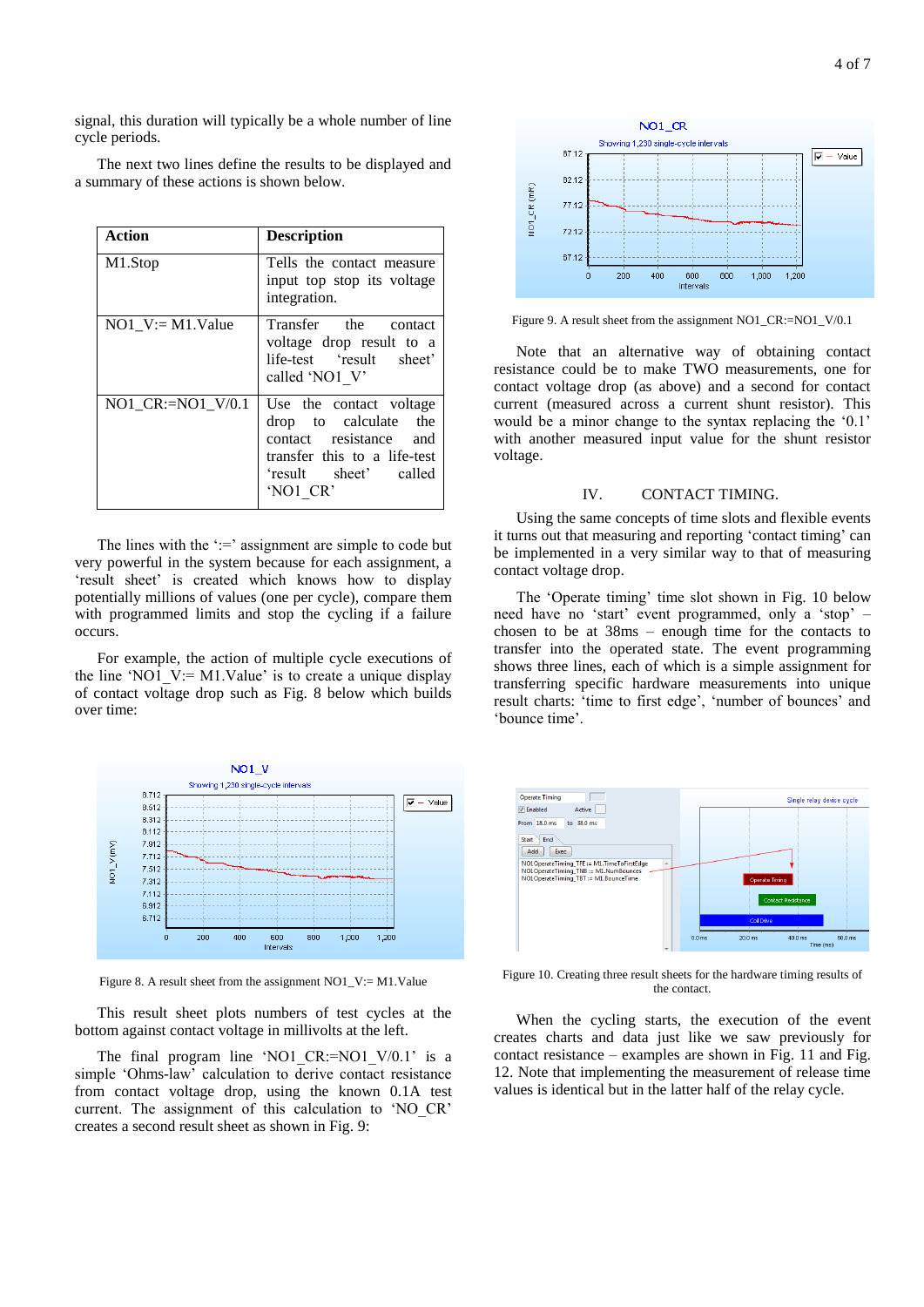signal, this duration will typically be a whole number of line cycle periods.

The next two lines define the results to be displayed and a summary of these actions is shown below.

| Action              | <b>Description</b>                                                                                                                                 |
|---------------------|----------------------------------------------------------------------------------------------------------------------------------------------------|
| M1.Stop             | Tells the contact measure<br>input top stop its voltage<br>integration.                                                                            |
| $NO1$ V:= M1.Value  | Transfer the contact<br>voltage drop result to a<br>life-test 'result sheet'<br>called 'NO1 V'                                                     |
| NO1 $CR:=NO1$ V/0.1 | Use the contact voltage<br>the<br>drop to calculate<br>contact resistance and<br>transfer this to a life-test<br>'result sheet' called<br>'NO1 CR' |

The lines with the  $\div$ = assignment are simple to code but very powerful in the system because for each assignment, a 'result sheet' is created which knows how to display potentially millions of values (one per cycle), compare them with programmed limits and stop the cycling if a failure occurs.

For example, the action of multiple cycle executions of the line 'NO1  $V := M1$ .Value' is to create a unique display of contact voltage drop such as Fig. 8 below which builds over time:



Figure 8. A result sheet from the assignment NO1\_V:= M1.Value

This result sheet plots numbers of test cycles at the bottom against contact voltage in millivolts at the left.

The final program line 'NO1\_CR:=NO1\_V/0.1' is a simple 'Ohms-law' calculation to derive contact resistance from contact voltage drop, using the known 0.1A test current. The assignment of this calculation to 'NO\_CR' creates a second result sheet as shown in Fig. 9:



Figure 9. A result sheet from the assignment NO1\_CR:=NO1\_V/0.1

Note that an alternative way of obtaining contact resistance could be to make TWO measurements, one for contact voltage drop (as above) and a second for contact current (measured across a current shunt resistor). This would be a minor change to the syntax replacing the '0.1' with another measured input value for the shunt resistor voltage.

#### IV. CONTACT TIMING.

Using the same concepts of time slots and flexible events it turns out that measuring and reporting 'contact timing' can be implemented in a very similar way to that of measuring contact voltage drop.

The 'Operate timing' time slot shown in Fig. 10 below need have no 'start' event programmed, only a 'stop' – chosen to be at 38ms – enough time for the contacts to transfer into the operated state. The event programming shows three lines, each of which is a simple assignment for transferring specific hardware measurements into unique result charts: 'time to first edge', 'number of bounces' and 'bounce time'.



Figure 10. Creating three result sheets for the hardware timing results of the contact.

When the cycling starts, the execution of the event creates charts and data just like we saw previously for contact resistance – examples are shown in Fig. 11 and Fig. 12. Note that implementing the measurement of release time values is identical but in the latter half of the relay cycle.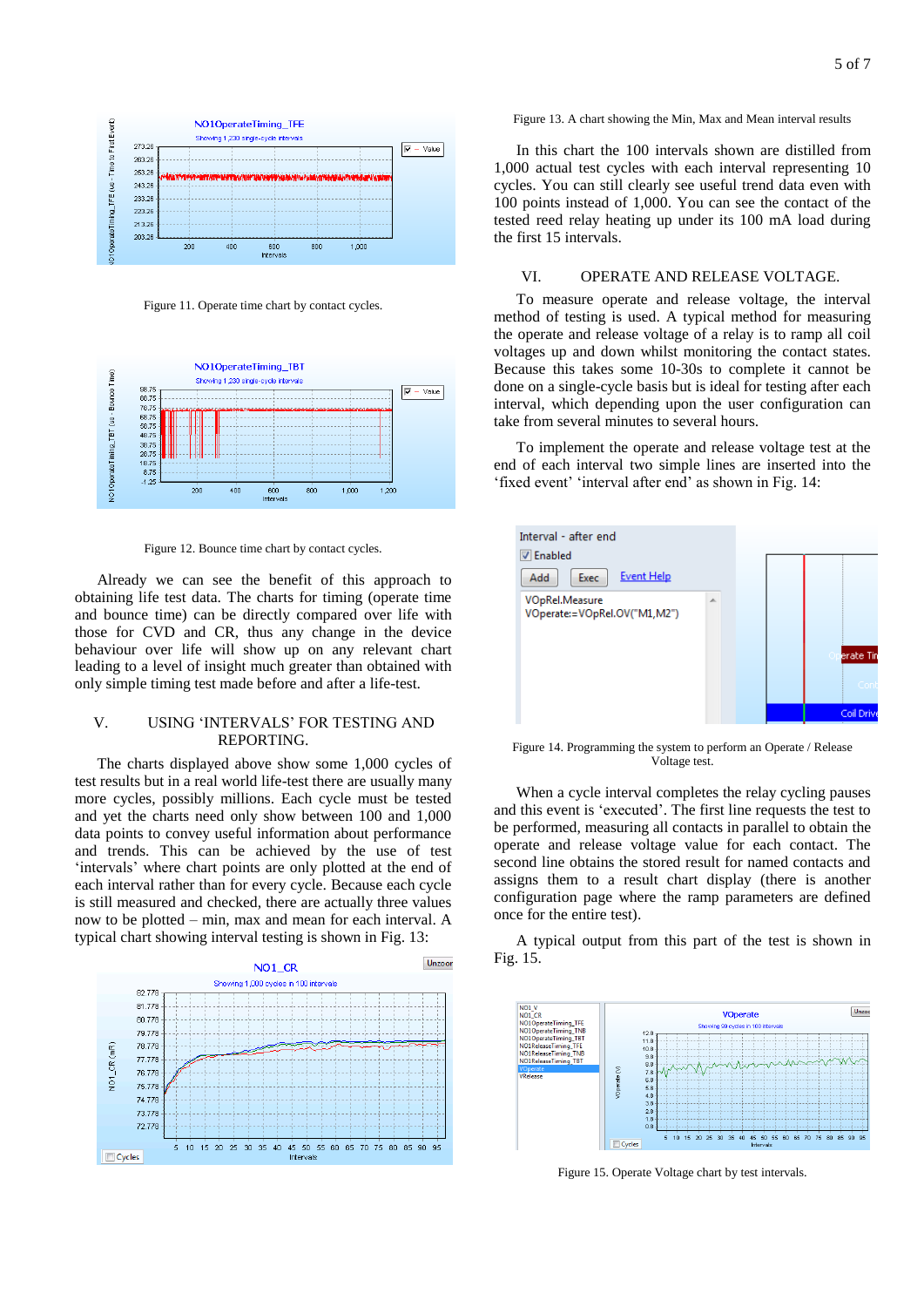

Figure 11. Operate time chart by contact cycles.



Figure 12. Bounce time chart by contact cycles.

Already we can see the benefit of this approach to obtaining life test data. The charts for timing (operate time and bounce time) can be directly compared over life with those for CVD and CR, thus any change in the device behaviour over life will show up on any relevant chart leading to a level of insight much greater than obtained with only simple timing test made before and after a life-test.

## V. USING 'INTERVALS' FOR TESTING AND REPORTING.

The charts displayed above show some 1,000 cycles of test results but in a real world life-test there are usually many more cycles, possibly millions. Each cycle must be tested and yet the charts need only show between 100 and 1,000 data points to convey useful information about performance and trends. This can be achieved by the use of test 'intervals' where chart points are only plotted at the end of each interval rather than for every cycle. Because each cycle is still measured and checked, there are actually three values now to be plotted – min, max and mean for each interval. A typical chart showing interval testing is shown in Fig. 13:



Figure 13. A chart showing the Min, Max and Mean interval results

In this chart the 100 intervals shown are distilled from 1,000 actual test cycles with each interval representing 10 cycles. You can still clearly see useful trend data even with 100 points instead of 1,000. You can see the contact of the tested reed relay heating up under its 100 mA load during the first 15 intervals.

#### VI. OPERATE AND RELEASE VOLTAGE.

To measure operate and release voltage, the interval method of testing is used. A typical method for measuring the operate and release voltage of a relay is to ramp all coil voltages up and down whilst monitoring the contact states. Because this takes some 10-30s to complete it cannot be done on a single-cycle basis but is ideal for testing after each interval, which depending upon the user configuration can take from several minutes to several hours.

To implement the operate and release voltage test at the end of each interval two simple lines are inserted into the 'fixed event' 'interval after end' as shown in Fig. 14:



Figure 14. Programming the system to perform an Operate / Release Voltage test.

When a cycle interval completes the relay cycling pauses and this event is 'executed'. The first line requests the test to be performed, measuring all contacts in parallel to obtain the operate and release voltage value for each contact. The second line obtains the stored result for named contacts and assigns them to a result chart display (there is another configuration page where the ramp parameters are defined once for the entire test).

A typical output from this part of the test is shown in Fig. 15.



Figure 15. Operate Voltage chart by test intervals.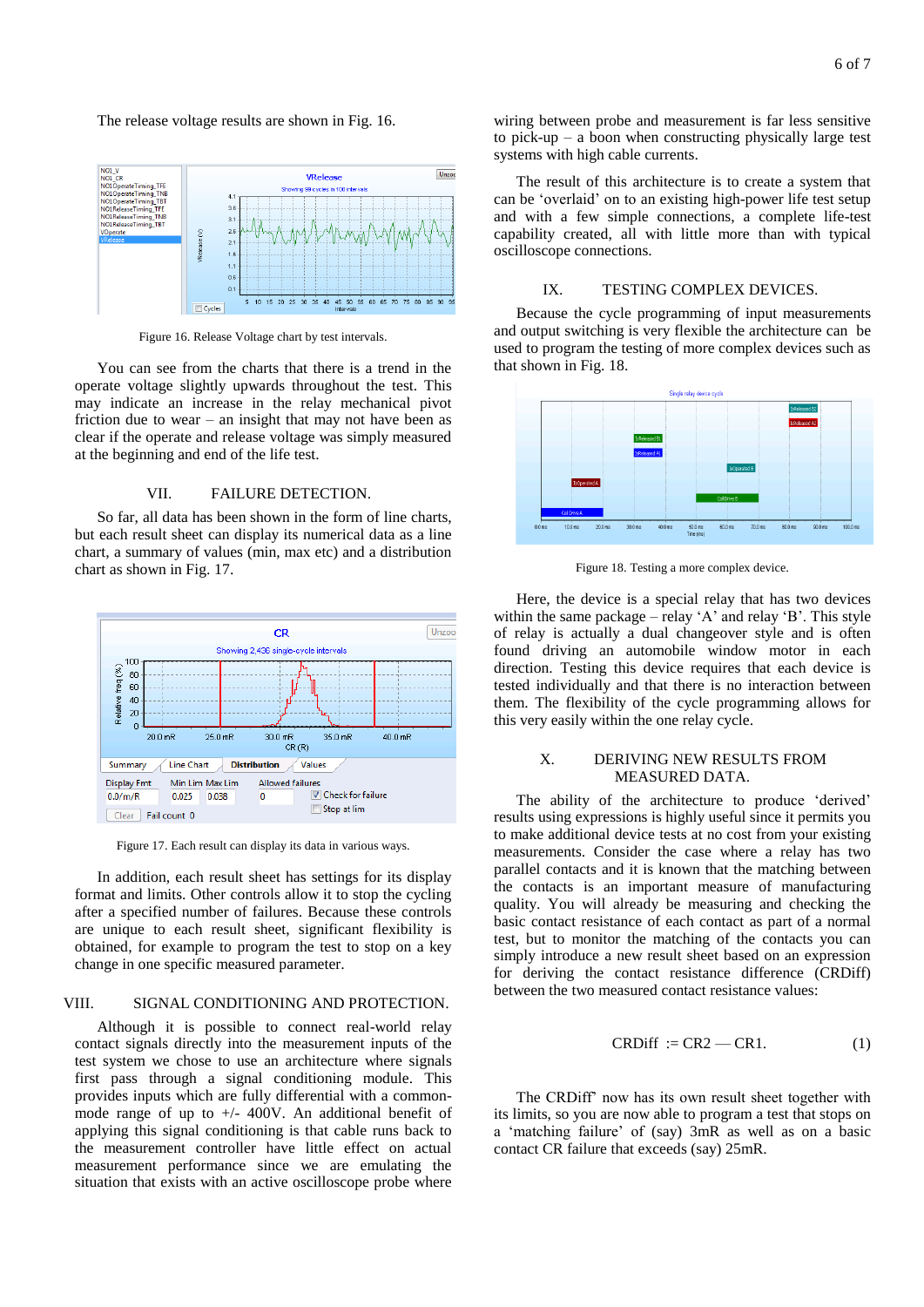The release voltage results are shown in Fig. 16.



Figure 16. Release Voltage chart by test intervals.

You can see from the charts that there is a trend in the operate voltage slightly upwards throughout the test. This may indicate an increase in the relay mechanical pivot friction due to wear – an insight that may not have been as clear if the operate and release voltage was simply measured at the beginning and end of the life test.

## VII. FAILURE DETECTION.

So far, all data has been shown in the form of line charts, but each result sheet can display its numerical data as a line chart, a summary of values (min, max etc) and a distribution chart as shown in Fig. 17.



Figure 17. Each result can display its data in various ways.

In addition, each result sheet has settings for its display format and limits. Other controls allow it to stop the cycling after a specified number of failures. Because these controls are unique to each result sheet, significant flexibility is obtained, for example to program the test to stop on a key change in one specific measured parameter.

### VIII. SIGNAL CONDITIONING AND PROTECTION.

Although it is possible to connect real-world relay contact signals directly into the measurement inputs of the test system we chose to use an architecture where signals first pass through a signal conditioning module. This provides inputs which are fully differential with a commonmode range of up to  $+/-$  400V. An additional benefit of applying this signal conditioning is that cable runs back to the measurement controller have little effect on actual measurement performance since we are emulating the situation that exists with an active oscilloscope probe where

wiring between probe and measurement is far less sensitive to pick-up – a boon when constructing physically large test systems with high cable currents.

The result of this architecture is to create a system that can be 'overlaid' on to an existing high-power life test setup and with a few simple connections, a complete life-test capability created, all with little more than with typical oscilloscope connections.

#### IX. TESTING COMPLEX DEVICES.

Because the cycle programming of input measurements and output switching is very flexible the architecture can be used to program the testing of more complex devices such as that shown in Fig. 18.



Figure 18. Testing a more complex device.

Here, the device is a special relay that has two devices within the same package – relay 'A' and relay 'B'. This style of relay is actually a dual changeover style and is often found driving an automobile window motor in each direction. Testing this device requires that each device is tested individually and that there is no interaction between them. The flexibility of the cycle programming allows for this very easily within the one relay cycle.

## X. DERIVING NEW RESULTS FROM MEASURED DATA.

The ability of the architecture to produce 'derived' results using expressions is highly useful since it permits you to make additional device tests at no cost from your existing measurements. Consider the case where a relay has two parallel contacts and it is known that the matching between the contacts is an important measure of manufacturing quality. You will already be measuring and checking the basic contact resistance of each contact as part of a normal test, but to monitor the matching of the contacts you can simply introduce a new result sheet based on an expression for deriving the contact resistance difference (CRDiff) between the two measured contact resistance values:

$$
CRDiff := CR2 - CR1.
$$
 (1)

The CRDiff' now has its own result sheet together with its limits, so you are now able to program a test that stops on a 'matching failure' of (say) 3mR as well as on a basic contact CR failure that exceeds (say) 25mR.